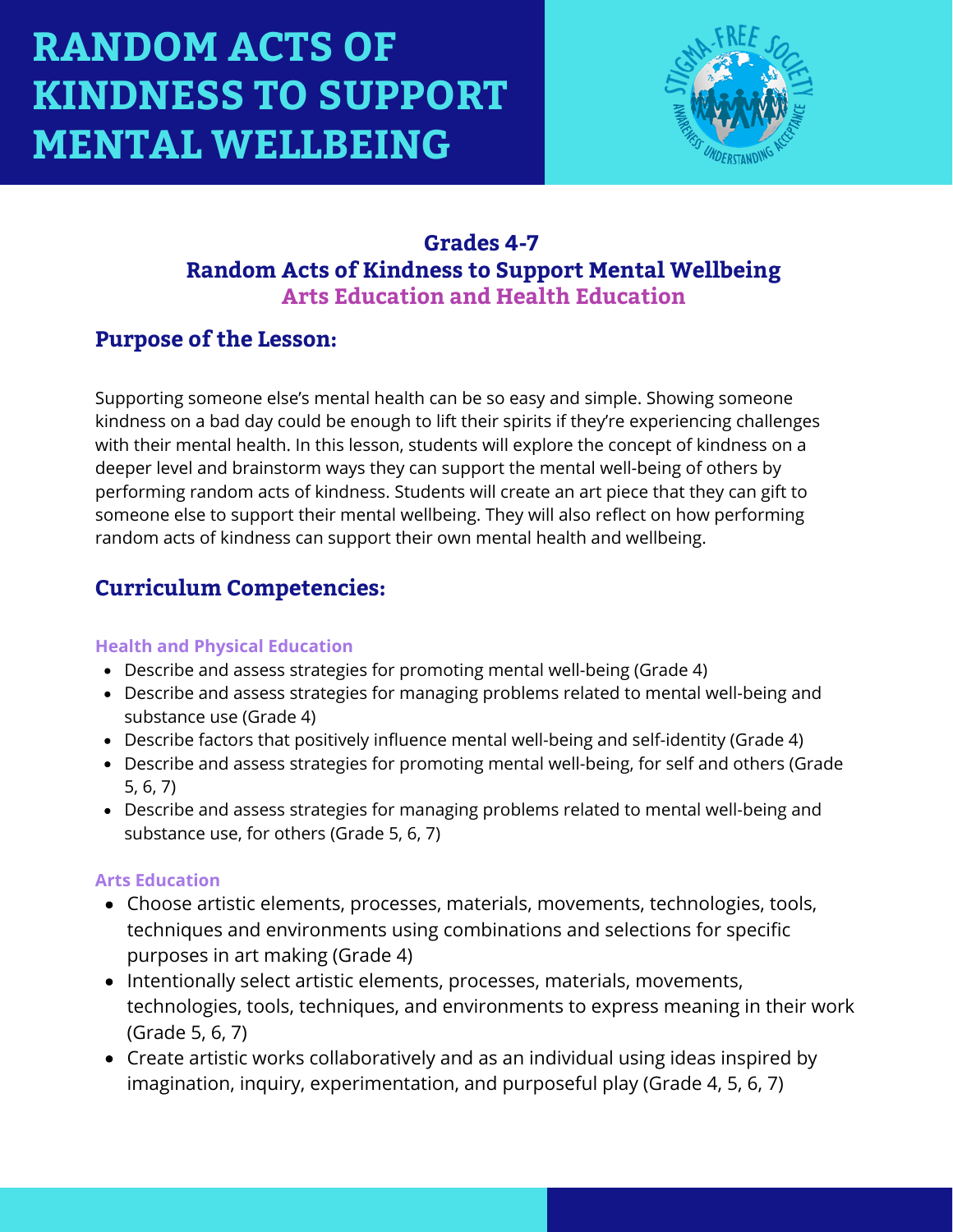

## **Grades 4-7 Random Acts of Kindness to Support Mental Wellbeing Arts Education and Health Education**

## **Purpose of the Lesson:**

Supporting someone else's mental health can be so easy and simple. Showing someone kindness on a bad day could be enough to lift their spirits if they're experiencing challenges with their mental health. In this lesson, students will explore the concept of kindness on a deeper level and brainstorm ways they can support the mental well-being of others by performing random acts of kindness. Students will create an art piece that they can gift to someone else to support their mental wellbeing. They will also reflect on how performing random acts of kindness can support their own mental health and wellbeing.

# **Curriculum Competencies:**

### **Health and Physical Education**

- Describe and assess strategies for promoting mental well-being (Grade 4)
- Describe and assess strategies for managing problems related to mental well-being and substance use (Grade 4)
- Describe factors that positively influence mental well-being and self-identity (Grade 4)
- Describe and assess strategies for promoting mental well-being, for self and others (Grade 5, 6, 7)
- Describe and assess strategies for managing problems related to mental well-being and substance use, for others (Grade 5, 6, 7)

### **Arts Education**

- Choose artistic elements, processes, materials, movements, technologies, tools, techniques and environments using combinations and selections for specific purposes in art making (Grade 4)
- Intentionally select artistic elements, processes, materials, movements, technologies, tools, techniques, and environments to express meaning in their work (Grade 5, 6, 7)
- Create artistic works collaboratively and as an individual using ideas inspired by imagination, inquiry, experimentation, and purposeful play (Grade 4, 5, 6, 7)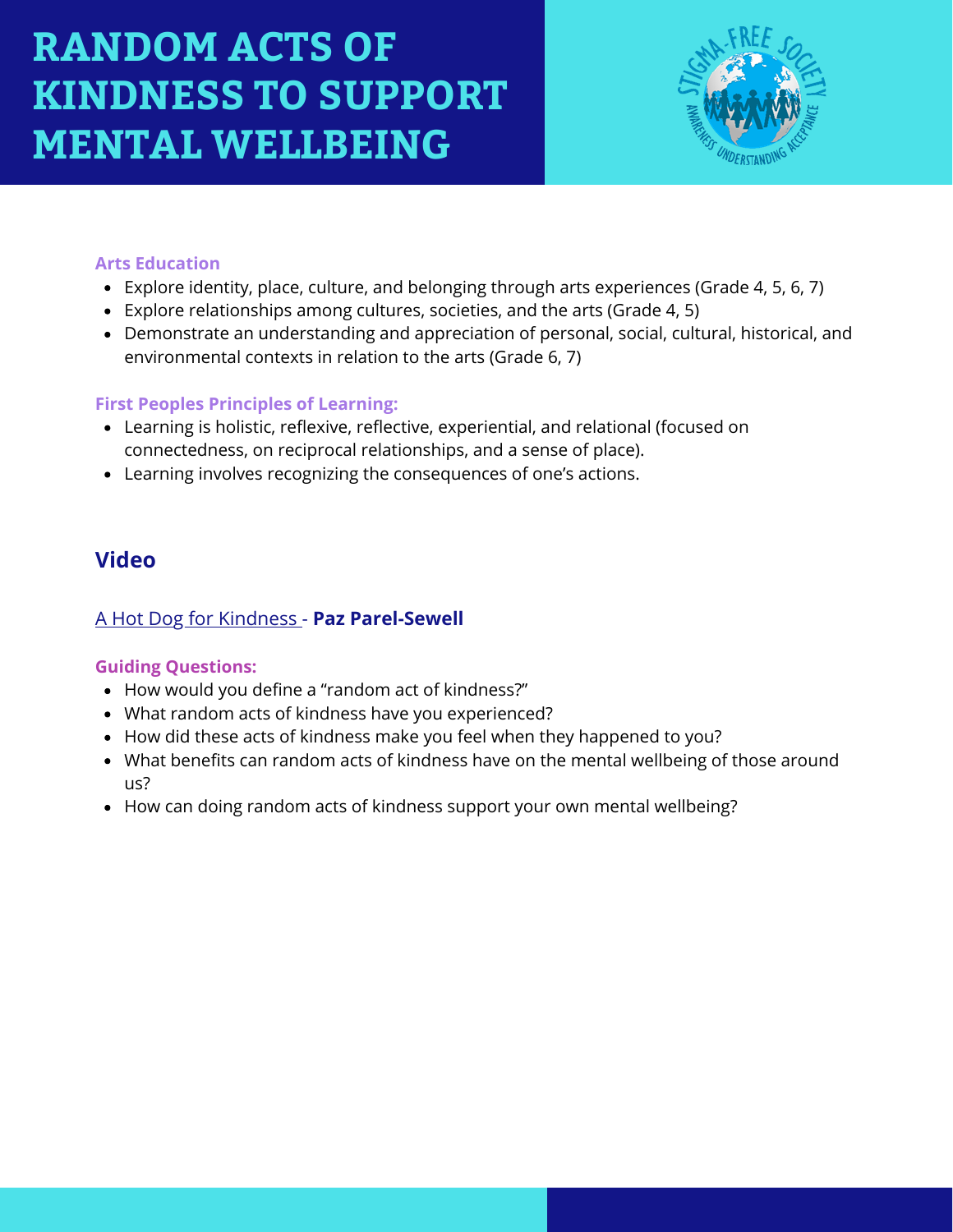

#### **Arts Education**

- Explore identity, place, culture, and belonging through arts experiences (Grade 4, 5, 6, 7)
- Explore relationships among cultures, societies, and the arts (Grade 4, 5)
- Demonstrate an understanding and appreciation of personal, social, cultural, historical, and environmental contexts in relation to the arts (Grade 6, 7)

### **First Peoples Principles of Learning:**

- Learning is holistic, reflexive, reflective, experiential, and relational (focused on connectedness, on reciprocal relationships, and a sense of place).
- Learning involves recognizing the consequences of one's actions.

## **Video**

## [A Hot Dog for Kindness](https://www.youtube.com/watch?v=AUlehTS_ezQ&list=PL10W9f-ZHDUrDZnm-d6easxKaMUWisGMC&index=11) [-](https://www.youtube.com/watch?v=MbmLNr89L-A) **[Paz Parel-Sewell](https://www.youtube.com/watch?v=MbmLNr89L-A)**

### **Guiding Questions:**

- How would you define a "random act of kindness?"
- What random acts of kindness have you experienced?
- How did these acts of kindness make you feel when they happened to you?
- What benefits can random acts of kindness have on the mental wellbeing of those around us?
- How can doing random acts of kindness support your own mental wellbeing?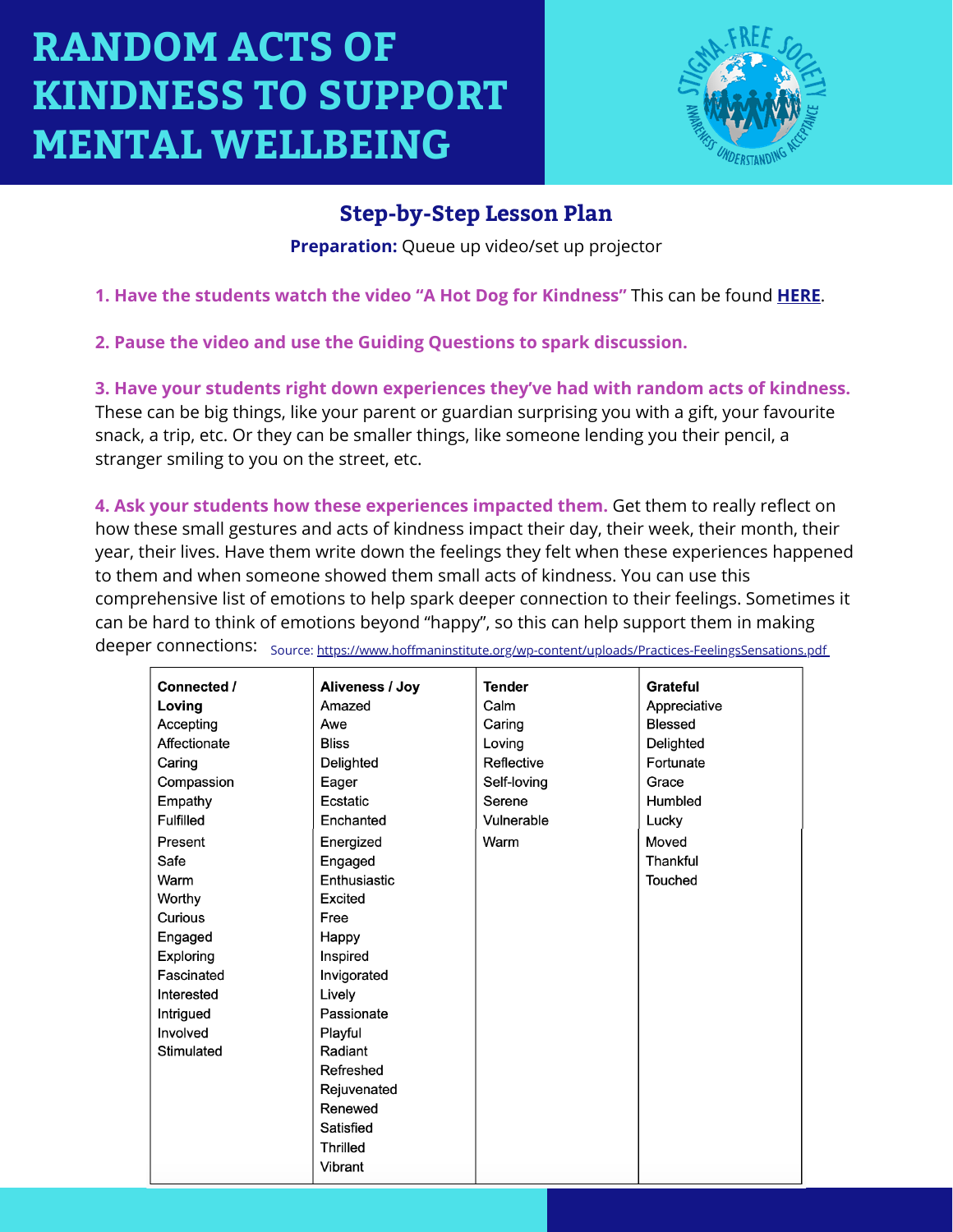

## **Step-by-Step Lesson Plan**

**Preparation:** Queue up video/set up projector

**1. Have the students watch the video "A Hot Dog for Kindness"** This can be found **[HERE](https://www.youtube.com/watch?v=AUlehTS_ezQ&list=PL10W9f-ZHDUrDZnm-d6easxKaMUWisGMC&index=11)**.

**2. Pause the video and use the Guiding Questions to spark discussion.**

**3. Have your students right down experiences they've had with random acts of kindness.** These can be big things, like your parent or guardian surprising you with a gift, your favourite snack, a trip, etc. Or they can be smaller things, like someone lending you their pencil, a stranger smiling to you on the street, etc.

**4. Ask your students how these experiences impacted them.** Get them to really reflect on how these small gestures and acts of kindness impact their day, their week, their month, their year, their lives. Have them write down the feelings they felt when these experiences happened to them and when someone showed them small acts of kindness. You can use this comprehensive list of emotions to help spark deeper connection to their feelings. Sometimes it can be hard to think of emotions beyond "happy", so this can help support them in making

| Connected /      | Aliveness / Joy | <b>Tender</b> | Grateful       |
|------------------|-----------------|---------------|----------------|
|                  |                 |               |                |
| Loving           | Amazed          | Calm          | Appreciative   |
| Accepting        | Awe             | Caring        | <b>Blessed</b> |
| Affectionate     | <b>Bliss</b>    | Loving        | Delighted      |
| Caring           | Delighted       | Reflective    | Fortunate      |
| Compassion       | Eager           | Self-loving   | Grace          |
| Empathy          | Ecstatic        | Serene        | Humbled        |
| <b>Fulfilled</b> | Enchanted       | Vulnerable    | Lucky          |
| Present          | Energized       | Warm          | Moved          |
| Safe             | Engaged         |               | Thankful       |
| Warm             | Enthusiastic    |               | Touched        |
| Worthy           | Excited         |               |                |
| Curious          | Free            |               |                |
| Engaged          | Happy           |               |                |
| Exploring        | Inspired        |               |                |
| Fascinated       | Invigorated     |               |                |
| Interested       | Lively          |               |                |
| Intrigued        | Passionate      |               |                |
| Involved         | Playful         |               |                |
| Stimulated       | Radiant         |               |                |
|                  | Refreshed       |               |                |
|                  | Rejuvenated     |               |                |
|                  | Renewed         |               |                |
|                  | Satisfied       |               |                |
|                  | <b>Thrilled</b> |               |                |
|                  | Vibrant         |               |                |
|                  |                 |               |                |

deeper connections: source: <https://www.hoffmaninstitute.org/wp-content/uploads/Practices-FeelingsSensations.pdf>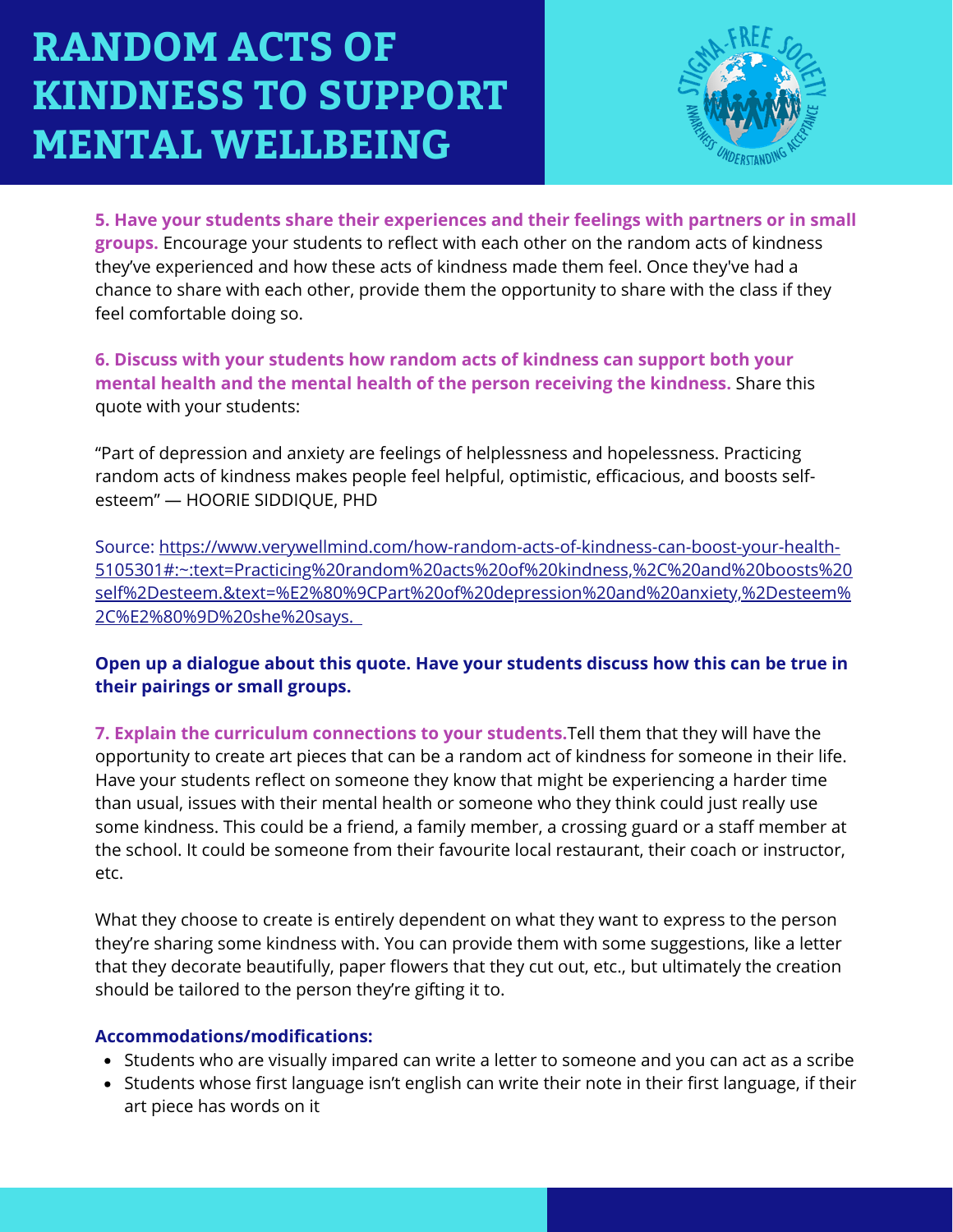

**5. Have your students share their experiences and their feelings with partners or in small groups.** Encourage your students to reflect with each other on the random acts of kindness they've experienced and how these acts of kindness made them feel. Once they've had a chance to share with each other, provide them the opportunity to share with the class if they feel comfortable doing so.

**6. Discuss with your students how random acts of kindness can support both your mental health and the mental health of the person receiving the kindness.** Share this quote with your students:

"Part of depression and anxiety are feelings of helplessness and hopelessness. Practicing random acts of kindness makes people feel helpful, optimistic, efficacious, and boosts selfesteem" — HOORIE SIDDIQUE, PHD

Source: https://www.verywellmind.com/how-random-acts-of-kindness-can-boost-your-health-[5105301#:~:text=Practicing%20random%20acts%20of%20kindness,%2C%20and%20boosts%20](https://www.verywellmind.com/how-random-acts-of-kindness-can-boost-your-health-5105301#:~:text=Practicing%20random%20acts%20of%20kindness,%2C%20and%20boosts%20self%2Desteem.&text=%E2%80%9CPart%20of%20depression%20and%20anxiety,%2Desteem%2C%E2%80%9D%20she%20says) self%2Desteem.&text=%E2%80%9CPart%20of%20depression%20and%20anxiety,%2Desteem% 2C%E2%80%9D%20she%20says[.](https://www.verywellmind.com/how-random-acts-of-kindness-can-boost-your-health-5105301#:~:text=Practicing%20random%20acts%20of%20kindness,%2C%20and%20boosts%20self%2Desteem.&text=%E2%80%9CPart%20of%20depression%20and%20anxiety,%2Desteem%2C%E2%80%9D%20she%20says)

### **Open up a dialogue about this quote. Have your students discuss how this can be true in their pairings or small groups.**

**7. Explain the curriculum connections to your students.**Tell them that they will have the opportunity to create art pieces that can be a random act of kindness for someone in their life. Have your students reflect on someone they know that might be experiencing a harder time than usual, issues with their mental health or someone who they think could just really use some kindness. This could be a friend, a family member, a crossing guard or a staff member at the school. It could be someone from their favourite local restaurant, their coach or instructor, etc.

What they choose to create is entirely dependent on what they want to express to the person they're sharing some kindness with. You can provide them with some suggestions, like a letter that they decorate beautifully, paper flowers that they cut out, etc., but ultimately the creation should be tailored to the person they're gifting it to.

#### **Accommodations/modifications:**

- Students who are visually impared can write a letter to someone and you can act as a scribe
- Students whose first language isn't english can write their note in their first language, if their art piece has words on it